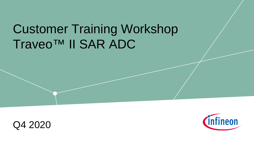# Customer Training Workshop Traveo™ II SAR ADC



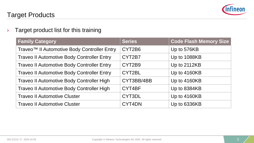

 $\rightarrow$  Target product list for this training

| <b>Family Category</b>                                  | <b>Series</b> | <b>Code Flash Memory Size</b> |
|---------------------------------------------------------|---------------|-------------------------------|
| Traveo <sup>™</sup> Il Automotive Body Controller Entry | CYT2B6        | Up to 576KB                   |
| <b>Traveo II Automotive Body Controller Entry</b>       | CYT2B7        | Up to 1088KB                  |
| <b>Traveo II Automotive Body Controller Entry</b>       | CYT2B9        | Up to 2112KB                  |
| <b>Traveo II Automotive Body Controller Entry</b>       | CYT2BL        | Up to 4160KB                  |
| Traveo II Automotive Body Controller High               | CYT3BB/4BB    | Up to 4160KB                  |
| Traveo II Automotive Body Controller High               | CYT4BF        | Up to 8384KB                  |
| <b>Traveo II Automotive Cluster</b>                     | CYT3DL        | Up to 4160KB                  |
| <b>Traveo II Automotive Cluster</b>                     | CYT4DN        | Up to 6336KB                  |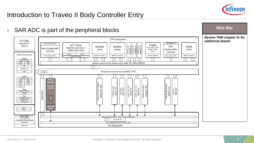

### Introduction to Traveo II Body Controller Entry

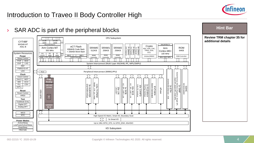

### Introduction to Traveo II Body Controller High



### **Hint Bar**

**Review TRM chapter 35 for additional details**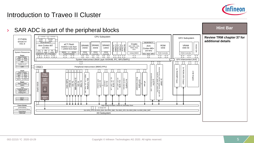

### Introduction to Traveo II Cluster

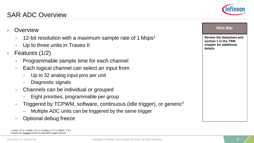

- $-$  12-bit resolution with a maximum sample rate of 1 Msps<sup>1</sup>
- Up to three units in Traveo II
- Features (1/2)
	- Programmable sample time for each channel
	- Each logical channel can select an input from
		- Up to 32 analog input pins per unit
		- Diagnostic signals
	- Channels can be individual or grouped
		- Eight priorities, programmable per group
	- Triggered by TCPWM, software, continuous (idle trigger), or generic2
		- Multiple ADC units can be triggered by the same trigger
	- Optional debug freeze

1 1 Msps: 4.5 V ≤ VDDA ≤ 5.5 V, 0.5 Msps: 2.7 V ≤ VDDA < 4.5 V <sup>2</sup> Review the **Triggers** section for alternative trigger sources



#### **Review the datasheet and section 1 in the TRM chapter for additional details**

**Hint Bar**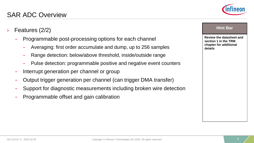- Features (2/2)
	- Programmable post-processing options for each channel
		- Averaging: first order accumulate and dump, up to 256 samples
		- Range detection: below/above threshold, inside/outside range
		- Pulse detection: programmable positive and negative event counters
	- Interrupt generation per channel or group
	- Output trigger generation per channel (can trigger DMA transfer)
	- Support for diagnostic measurements including broken wire detection
	- Programmable offset and gain calibration



#### **Hint Bar**

**Review the datasheet and section 1 in the TRM chapter for additional details**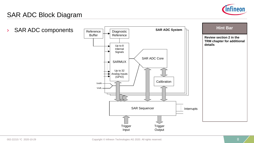

### SAR ADC Block Diagram

› SAR ADC components

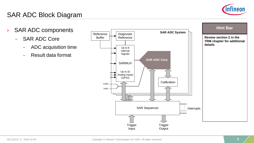

### SAR ADC Block Diagram

- › SAR ADC components
	- SAR ADC Core
		- ADC acquisition time
		- Result data format

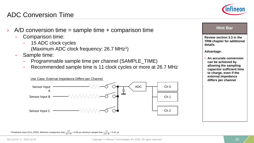## ADC Conversion Time

- $A/D$  conversion time = sample time  $+$  comparison time
	- Comparison time:
		- 15 ADC clock cycles

<sup>1</sup> Peripheral clock (CLK\_PERI). Minimum comparison time:  $\frac{15}{26.7 \text{ M}}$  = 0.56 µs; minimum sample time:  $\frac{11}{26.7 \text{ M}}$  = 0.41 µs

- (Maximum ADC clock frequency: 26.7 MHz<sup>1</sup>)
- Sample time:
	- Programmable sample time per channel (SAMPLE\_TIME)
	- Recommended sample time is 11 clock cycles or more at 26.7 MHz





#### **Hint Bar**

**Review section 3.3 in the TRM chapter for additional details**

#### **Advantage:**

• **An accurate conversion can be achieved by allowing the sampling capacitor sufficient time to charge, even if the external impedance differs per channel**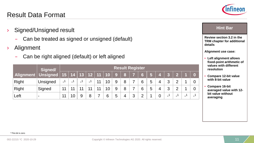1 This bit is zero

### Result Data Format

- › Signed/Unsigned result
	- Can be treated as signed or unsigned (default)
- › Alignment
	- Can be right aligned (default) or left aligned

|                       | Signed/  |     | <b>Result Register</b> |        |     |    |                            |   |   |         |                |   |    |                          |                          |   |  |
|-----------------------|----------|-----|------------------------|--------|-----|----|----------------------------|---|---|---------|----------------|---|----|--------------------------|--------------------------|---|--|
| Alignment Unsigned 15 |          |     |                        |        |     |    | │ 14 │ 13 │ 12 │ 11 │ 10 │ | 9 | 8 |         | $6\phantom{a}$ |   | ÆĶ | -2                       | $\overline{2}$           |   |  |
| Right                 | Unsigned | - ' | - '                    | $\sim$ | - 1 | 11 | 10                         | 9 | 8 |         | 6              | 5 | 4  | 3                        | $\mathcal{D}$            |   |  |
| Right                 | Signed   | 11  |                        |        |     | 11 | 10                         | 9 | 8 | ⇁       | 6              | 5 |    | 3                        | $\mathcal{D}$            |   |  |
| Left                  | -        | 11  | 10                     |        | 8   |    | 6                          | 5 | 4 | ્ર<br>J | C              |   |    | $\overline{\phantom{0}}$ | $\overline{\phantom{0}}$ | - |  |

**Review section 3.2 in the TRM chapter for additional details**

**Alignment use case:**

- **Left alignment allows fixed-point arithmetic of values with different resolution**
- **Compare 12-bit value with 8-bit value**
- **Compare 16-bit averaged value with 12 bit value without averaging**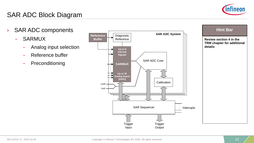

## SAR ADC Block Diagram

- › SAR ADC components
	- SARMUX
		- Analog input selection
		- Reference buffer
		- **Preconditioning**



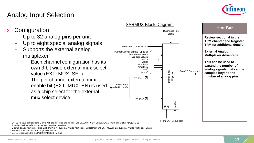

### Analog Input Selection

**Configuration** Up to 32 analog pins per unit<sup>1</sup> Up to eight special analog signals – Supports the external analog multiplexer<sup>4</sup> – Each channel configuration has its own 3-bit wide external mux select value (EXT\_MUX\_SEL) – The per channel external mux enable bit (EXT\_MUX\_EN) is used as a chip select for the external mux select device SARMUX Block Diagram Analog<br>Multiplexer  $5\overline{8}$  $ADC[x]$ \_31 ADC[x]  $0 \times$ Internal Special Signals (Up to 8) Temperature Sensor Bandgap Voltage VDDA **VCCD** Amuxbusb Amuxbusa  $AUX<sup>3</sup>$  $V<sub>MOTOR</sub>$ Analog Input Signals (Up to 32) To ADC Core Input From SAR Sequencer Diagnostic Ref. **Signal** Control Extension to other MUX<sup>2</sup>  $\cdot$ **Review section 4 in the TRM chapter and Register TRM for additional details External Analog Multiplexer Advantage: This can be used to expand the number of analog signals that can be sampled beyond the number of analog pins Hint Bar** 

1 CYT2B7/9 (176-pin) supports 3 units with the following analog pins: Unit 0: ADC[0]\_0-23, Unit 1: ADC[1]\_0-23, and Unit 2: ADC[2]\_0-15 For other devices, refer to the respective device datasheet

<sup>2</sup> External analog multiplexer pins: EXT\_MUX[x]\_v - External Analog Multiplexer Select Input and EXT\_MUX[x]\_EN: External Analog Multiplexer Enable

<sup>3</sup> Traveo II does not support AUX (auxiliary input)

 $4$  V<sub>MOTOR</sub> is connected to the P11[2:0]/ADC[2:0]\_M pins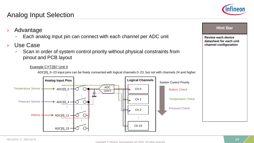### 002-22215 \*C 2020-10-29 14

#### Copyright © Infineon Technologies AG 2020. All rights reserved.

### Analog Input Selection

pinout and PCB layout

› Advantage

› Use Case

**Hint Bar** 

**Review each device datasheet for each unit channel configuration**

Example CYT2B7 Unit 0 ADC[0]\_0−23 input pins can be freely connected with logical channels 0−23, but not with channels 24 and higher



– Each analog input pin can connect with each channel per ADC unit

– Scan in order of system control priority without physical constraints from

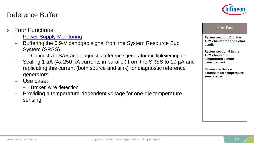### Reference Buffer

- **Four Functions** 
	- [Power Supply Monitoring](#page-15-0)
	- Buffering the 0.9-V bandgap signal from the System Resource Sub System (SRSS)
		- Connects to SAR and diagnostic reference generator multiplexer inputs
	- Scaling 1 µA (4x 250 nA currents in parallel) from the SRSS to 10 µA and replicating this current (both source and sink) for diagnostic reference generators
	- Use case:
		- Broken wire detection
	- Providing a temperature-dependent voltage for one-die temperature sensing

**Review section 11 in the TRM chapter for additional details**

**Review section 9 in the TRM chapter for temperature sensor measurement**

**Review the device datasheet for temperature sensor spec**

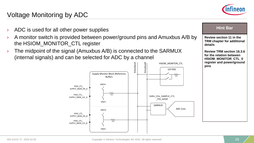

### <span id="page-15-0"></span>Voltage Monitoring by ADC

- ADC is used for all other power supplies
- › A monitor switch is provided between power/ground pins and Amuxbus A/B by the HSIOM\_MONITOR\_CTL register
- $\rightarrow$  The midpoint of the signal (Amuxbus A/B) is connected to the SARMUX (internal signals) and can be selected for ADC by a channel



**Review section 11 in the TRM chapter for additional details Review TRM section 16.3.6 for the relation between HSIOM\_MONITOR\_CTL\_0 register and power/ground pins Hint Bar**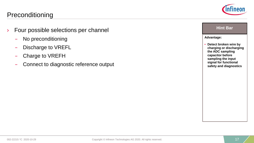### **Preconditioning**

- › Four possible selections per channel
	- No preconditioning
	- Discharge to VREFL
	- Charge to VREFH
	- Connect to diagnostic reference output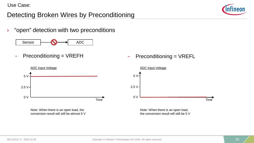### Detecting Broken Wires by Preconditioning





 $-$  Preconditioning = VREFH



Note: When there is an open load, the conversion result will still be almost 5 V – Preconditioning = VREFL



Note: When there is an open load, the conversion result will still be 0 V

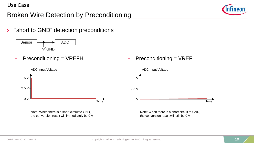### Broken Wire Detection by Preconditioning

› "short to GND" detection preconditions

Sensor  $\rightarrow$  ADC  $\nabla$ GND

 $-$  Preconditioning = VREFH



Note: When there is a short circuit to GND, the conversion result will immediately be 0 V  $-$  Preconditioning = VREFL



Note: When there is a short circuit to GND, the conversion result will still be 0 V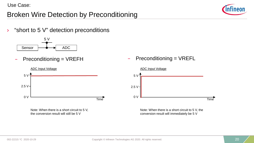### Broken Wire Detection by Preconditioning

 $\rightarrow$  "short to 5 V" detection preconditions



– Preconditioning = VREFH



Note: When there is a short circuit to 5 V, the conversion result will still be 5 V

 $-$  Preconditioning = VREFL



Note: When there is a short circuit to 5 V, the conversion result will immediately be 5 V

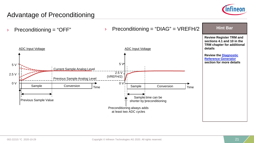## Advantage of Preconditioning

 $Preconditioning = "OFF"$  > Preconditioning = "DIAG" = VREFH/2 ADC Input Voltage ADC Input Voltage ADC Input Voltage Sample | Conversion 5 V 2.5 V 0 V Time Previous Sample Analog Level Current Sample Analog Level Previous Sample Value 5 V 2.5 V (VREFH/2) 0 V Sample Conversion  $\overline{T_{\text{time}}}$ Preconditioning always adds at least two ADC cycles Sample time can be shorter by preconditioning **Review Register TRM and sections 4.1 and 10 in the TRM chapter for additional details [Review the Diagnostic](#page-22-0) Reference Generator section for more details Hint Bar**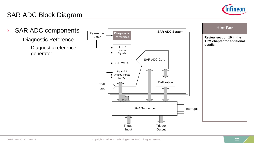

## SAR ADC Block Diagram

- › SAR ADC components
	- Diagnostic Reference
		- Diagnostic reference generator

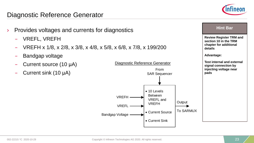### <span id="page-22-0"></span>Diagnostic Reference Generator

- Provides voltages and currents for diagnostics
	- VREFL, VREFH
	- VREFH x 1/8, x 2/8, x 3/8, x 4/8, x 5/8, x 6/8, x 7/8, x 199/200
	- Bandgap voltage
	- Current source (10 μA)
	- Current sink (10 μA)





## **Review Register TRM and section 10 in the TRM chapter for additional details Advantage: Test internal and external signal connection by injecting voltage near pads Hint Bar**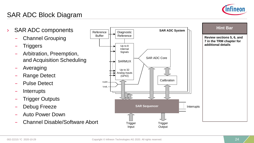

## SAR ADC Block Diagram

- › SAR ADC components
	- Channel Grouping
	- **Triggers**
	- Arbitration, Preemption, and Acquisition Scheduling
	- Averaging
	- Range Detect
	- Pulse Detect
	- **Interrupts**
	- Trigger Outputs
	- Debug Freeze
	- Auto Power Down
	- Channel Disable/Software Abort

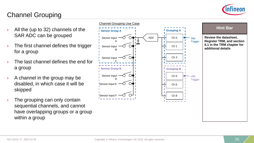

### Channel Grouping

- All the (up to 32) channels of the SAR ADC can be grouped
- The first channel defines the trigger for a group
- The last channel defines the end for a group
- $\rightarrow$  A channel in the group may be disabled, in which case it will be skipped
- The grouping can only contain sequential channels, and cannot have overlapping groups or a group within a group

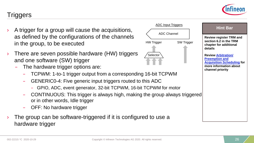

- <span id="page-25-0"></span>› A trigger for a group will cause the acquisitions, as defined by the configurations of the channels in the group, to be executed
- There are seven possible hardware (HW) triggers and one software (SW) trigger
	- The hardware trigger options are:
		- TCPWM: 1-to-1 trigger output from a corresponding 16-bit TCPWM
		- GENERIC0-4: Five generic input triggers routed to this ADC
			- GPIO, ADC, event generator, 32-bit TCPWM, 16-bit TCPWM for motor
		- CONTINUOUS: This trigger is always high, making the group always triggered or in other words, Idle trigger
		- OFF: No hardware trigger
- The group can be software-triggered if it is configured to use a hardware trigger



#### **Hint Bar**

**Review register TRM and section 6.2 in the TRM chapter for additional details**

**Review Arbitration/ Preemption and [Acquisition Scheduling](#page-27-0) for more information about channel priority**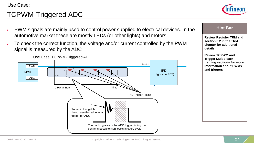## TCPWM-Triggered ADC



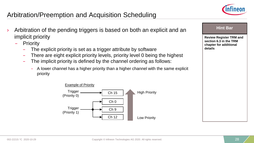

## <span id="page-27-0"></span>Arbitration/Preemption and Acquisition Scheduling

- Arbitration of the pending triggers is based on both an explicit and an implicit priority
	- Priority
		- The explicit priority is set as a trigger attribute by software
		- There are eight explicit priority levels, priority level 0 being the highest
		- The implicit priority is defined by the channel ordering as follows:
			- A lower channel has a higher priority than a higher channel with the same explicit priority



| <b>Hint Bar</b>                                                                               |
|-----------------------------------------------------------------------------------------------|
| <b>Review Register TRM and</b><br>section 6.3 in the TRM<br>chapter for additional<br>details |
|                                                                                               |
|                                                                                               |
|                                                                                               |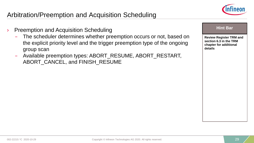

## Arbitration/Preemption and Acquisition Scheduling

- **Preemption and Acquisition Scheduling** 
	- The scheduler determines whether preemption occurs or not, based on the explicit priority level and the trigger preemption type of the ongoing group scan
	- Available preemption types: ABORT\_RESUME, ABORT\_RESTART, ABORT CANCEL, and FINISH\_RESUME

| ın<br>чn |
|----------|
|----------|

**Review Register TRM and section 6.3 in the TRM chapter for additional details**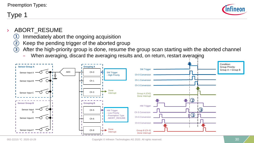### Preemption Types:

## Type 1



### ABORT\_RESUME

- Immediately abort the ongoing acquisition  $(1)$
- Keep the pending trigger of the aborted group  $\bf(2)$
- After the high-priority group is done, resume the group scan starting with the aborted channel  $(3)$ 
	- When averaging, discard the averaging results and, on return, restart averaging

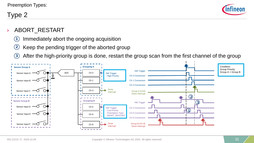

### Type 2

### ABORT\_RESTART

- Immediately abort the ongoing acquisition  $(1)$
- Keep the pending trigger of the aborted group  $(2)$
- After the high-priority group is done, restart the group scan from the first channel of the group  $\bf(3)$

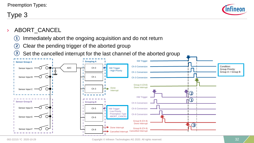### Preemption Types:

### Type 3



### ABORT CANCEL

- Immediately abort the ongoing acquisition and do not return  $(1)$
- Clear the pending trigger of the aborted group 2
- Set the cancelled interrupt for the last channel of the aborted group  $\left( 3\right)$

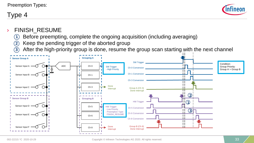### Preemption Types:

### Type 4



### **FINISH RESUME**

- Before preempting, complete the ongoing acquisition (including averaging)  $(1)$
- Keep the pending trigger of the aborted group 2
- After the high-priority group is done, resume the group scan starting with the next channel 3

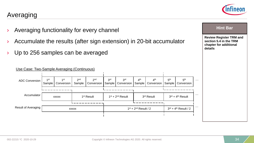

# Averaging

- › Averaging functionality for every channel
- $\lambda$  Accumulate the results (after sign extension) in 20-bit accumulator
- $\rightarrow$  Up to 256 samples can be averaged

#### 1st Sample 1st Conversion ADC Conversion  $1^{st}$  1<sup>st</sup> 1<sup>st</sup> 2<sup>nd</sup> Sample 2nd Conversion 3rd Sample 3rd Conversion 1<sup>st</sup> Result xxxx $\begin{array}{ccc} \text{1st } + & 2^{\text{nd}} \text{ Result } / \text{2} \end{array}$   $\begin{array}{ccc} 3^{\text{rd}} + 4^{\text{th}} \text{ Result } / \text{2} \end{array}$ Accumulator 1st + 2 xxxxx nd Result Result of Averaging 4th Sample 4th Conversion  $3<sup>rd</sup>$  Result  $3<sup>rd</sup> + 4<sup>th</sup>$  Result 5th Sample 5th **Conversion** … … … Use Case: Two-Sample Averaging (Continuous)

| <b>Review Register TRM and</b><br>section 5.4 in the TRM<br>chapter for additional<br>details |  |
|-----------------------------------------------------------------------------------------------|--|

**Hint Bar**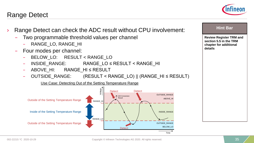### Range Detect



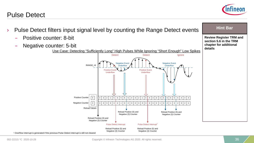### Pulse Detect



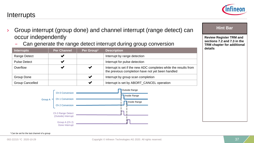### **Interrupts**

- Group interrupt (group done) and channel interrupt (range detect) can occur independently
	- Can generate the range detect interrupt during group conversion

| Interrupts             | <b>Per Channel</b> | Per Group <sup>1</sup> | <b>Description</b>                                                                                                    |
|------------------------|--------------------|------------------------|-----------------------------------------------------------------------------------------------------------------------|
| Range Detect           |                    |                        | Interrupt by range detection                                                                                          |
| <b>Pulse Detect</b>    |                    |                        | Interrupt for pulse detection                                                                                         |
| Overflow               |                    |                        | Interrupt is set if the new ADC completes while the results from<br>the previous completion have not yet been handled |
| Group Done             |                    |                        | Interrupt by group scan completion                                                                                    |
| <b>Group Cancelled</b> |                    |                        | Interrupt is set by ABORT_CANCEL operation                                                                            |



#### **Hint Bar**

**Review Register TRM and sections 7.2 and 7.3 in the TRM chapter for additional details**

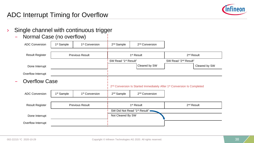

### ADC Interrupt Timing for Overflow

- › Single channel with continuous trigger
	- Normal Case (no overflow)

| <b>ADC Conversion</b>  | 1 <sup>st</sup> Sample | 1 <sup>st</sup> Conversion | 2 <sup>nd</sup> Sample           | 2 <sup>nd</sup> Conversion                                                                      |                                  |               |
|------------------------|------------------------|----------------------------|----------------------------------|-------------------------------------------------------------------------------------------------|----------------------------------|---------------|
| <b>Result Register</b> |                        | <b>Previous Result</b>     |                                  | 1 <sup>st</sup> Result                                                                          | $2nd$ Result                     |               |
|                        |                        |                            | SW Read "1 <sup>st</sup> Result" |                                                                                                 | SW Read "2 <sup>nd</sup> Result" |               |
| Done Interrupt         |                        |                            |                                  | Cleared by SW                                                                                   |                                  | Cleared by SW |
| Overflow Interrupt     |                        |                            |                                  |                                                                                                 |                                  |               |
| <b>Overflow Case</b>   |                        |                            |                                  |                                                                                                 |                                  |               |
|                        |                        |                            |                                  | 2 <sup>nd</sup> Conversion Is Started Immediately After 1 <sup>st</sup> Conversion Is Completed |                                  |               |
| <b>ADC Conversion</b>  | 1 <sup>st</sup> Sample | 1 <sup>st</sup> Conversion | 2 <sup>nd</sup> Sample           | 2 <sup>nd</sup> Conversion                                                                      |                                  |               |
|                        |                        |                            |                                  |                                                                                                 |                                  |               |
| <b>Result Register</b> |                        | <b>Previous Result</b>     |                                  | 1 <sup>st</sup> Result                                                                          | 2 <sup>nd</sup> Result           |               |
|                        |                        |                            |                                  | SW Did Not Read "1 <sup>st</sup> Result" .                                                      |                                  |               |
| Done Interrupt         |                        |                            | Not Cleared By SW                |                                                                                                 |                                  |               |
| Overflow Interrupt     |                        |                            |                                  |                                                                                                 |                                  |               |
|                        |                        |                            |                                  |                                                                                                 |                                  |               |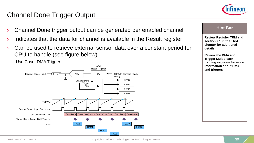

### Channel Done Trigger Output

- Channel Done trigger output can be generated per enabled channel
- Indicates that the data for channel is available in the Result register
- Can be used to retrieve external sensor data over a constant period for CPU to handle (see figure below)



**Review Register TRM and section 7.1 in the TRM chapter for additional details Review the DMA and Trigger Multiplexer training sections for more information about DMA and triggers Hint Bar**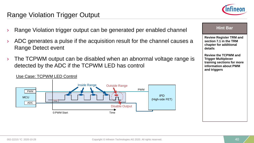

### Range Violation Trigger Output

- Range Violation trigger output can be generated per enabled channel
- › ADC generates a pulse if the acquisition result for the channel causes a Range Detect event
- $\rightarrow$  The TCPWM output can be disabled when an abnormal voltage range is detected by the ADC if the TCPWM LED has control



### Use Case: TCPWM LED Control

### **Review Register TRM and section 7.1 in the TRM Hint Bar**

**chapter for additional details**

**Review the TCPWM and Trigger Multiplexer training sections for more information about PWM and triggers**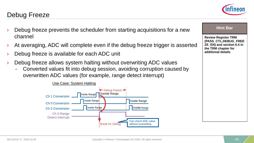### Debug Freeze

- Debug freeze prevents the scheduler from starting acquisitions for a new channel
- At averaging, ADC will complete even if the debug freeze trigger is asserted
- Debug freeze is available for each ADC unit
- Debug freeze allows system halting without overwriting ADC values
	- Converted values fit into debug session, avoiding corruption caused by overwritten ADC values (for example, range detect interrupt)





#### **Hint Bar**

**Review Register TRM (PASS\_CTL.DEBUG\_FREE ZE\_EN) and section 6.4 in the TRM chapter for additional details**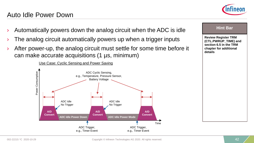Auto Idle Power Down





- The analog circuit automatically powers up when a trigger inputs
- After power-up, the analog circuit must settle for some time before it can make accurate acquisitions (1 µs, minimum)





#### **Hint Bar**

**Review Register TRM (CTL.PWRUP\_TIME) and section 6.5 in the TRM chapter for additional details**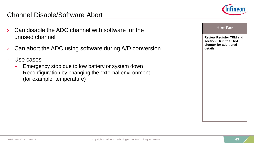- Can disable the ADC channel with software for the unused channel
- Can abort the ADC using software during A/D conversion
- Use cases
	- Emergency stop due to low battery or system down
	- Reconfiguration by changing the external environment (for example, temperature)



| <b>Hint Bar</b>                                                                               |
|-----------------------------------------------------------------------------------------------|
| <b>Review Register TRM and</b><br>section 6.6 in the TRM<br>chapter for additional<br>details |
|                                                                                               |
|                                                                                               |
|                                                                                               |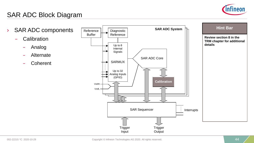

## SAR ADC Block Diagram

- › SAR ADC components
	- Calibration
		- Analog
		- Alternate
		- **Coherent**

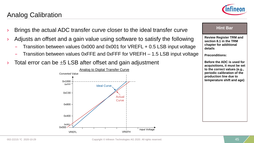Analog Calibration

# – Transition between values 0xFFE and 0xFFF for VREFH – 1.5 LSB input voltage

Total error can be  $\pm 5$  LSB after offset and gain adjustment

#### 0x000 0x400 0x800 0xC00 0x1000 0x00 0xFFF VREFL VREFH Input Voltage Actual **Curve** Ideal Curve Converted Value Analog to Digital Transfer Curve

**chapter for additional details Preconditions:**

**Review Register TRM and section 8.1 in the TRM** 

**Hint Bar** 

**Before the ADC is used for acquisitions, it must be set to the correct values (e.g., periodic calibration of the production line due to temperature shift and age)**

› Brings the actual ADC transfer curve closer to the ideal transfer curve

- Adjusts an offset and a gain value using software to satisfy the following
	- Transition between values 0x000 and 0x001 for VREFL + 0.5 LSB input voltage
	-
	-



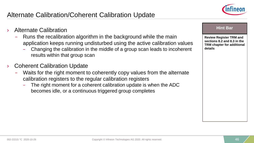

### Alternate Calibration/Coherent Calibration Update

- › Alternate Calibration
	- Runs the recalibration algorithm in the background while the main application keeps running undisturbed using the active calibration values
		- Changing the calibration in the middle of a group scan leads to incoherent results within that group scan
- **Coherent Calibration Update** 
	- Waits for the right moment to coherently copy values from the alternate calibration registers to the regular calibration registers
		- The right moment for a coherent calibration update is when the ADC becomes idle, or a continuous triggered group completes

**Review Register TRM and sections 8.2 and 8.3 in the TRM chapter for additional details**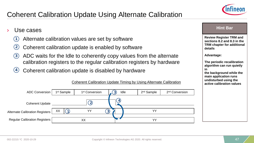## Coherent Calibration Update Using Alternate Calibration



### Use cases

- Alternate calibration values are set by software  $(1)$
- Coherent calibration update is enabled by software 2
- ADC waits for the Idle to coherently copy values from the alternate calibration registers to the regular calibration registers by hardware  $(3)$
- Coherent calibration update is disabled by hardware  $(4)$



Coherent Calibration Update Timing by Using Alternate Calibration

#### **Hint Bar**

**Review Register TRM and sections 8.2 and 8.3 in the TRM chapter for additional details**

**Advantage:**

**The periodic recalibration algorithm can run quietly in** 

**the background while the main application runs undisturbed using the active calibration values**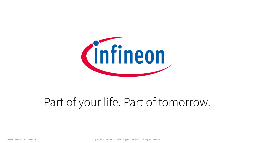

# Part of your life. Part of tomorrow.

**002-22215 \*C 2020-10-29 Copyright © Infineon Technologies AG 2020. All rights reserved.** 48